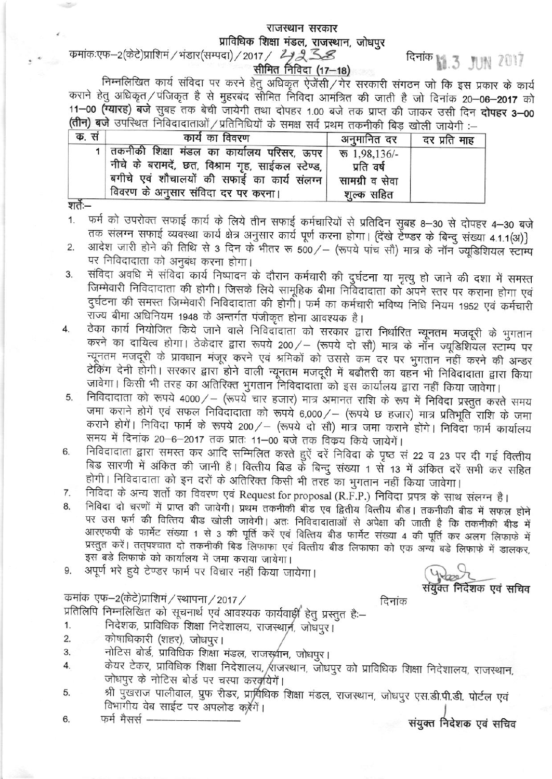### राजस्थान सरकार प्राविधिक शिक्षा मंडल, राजस्थान, जोधपुर

 $R = 3$  JUN 2017

### कमांकःएफ–2(केटे)प्राशिमं / भंडार(सम्पदा) / 2017 / 4 2 38 सीमित निविदा (17–18)

निम्नलिखित कार्य संविदा पर करने हेतु अधिकृत ऐजेंसी/गेर सरकारी संगठन जो कि इस प्रकार के कार्य कराने हेतु अधिकृत / पंजिकृत है से मुहरबंद सीमित निविदा आमंत्रित की जाती है जो दिनांक 20–06–2017 को 11-00 (ग्यारह) बजे सुबह तक बेची जायेगी तथा दोपहर 1.00 बजे तक प्राप्त की जाकर उसी दिन दोपहर 3-00 (तीन) बजे उपरिथत निविदादाताओं / प्रतिनिधियों के समक्ष सर्व प्रथम तकनीकी बिड़ खोली जायेगी :-

| दर प्रति माह | अनुमानित दर                                | कार्य का विवरण                                                                                                                                                                                        | क. सं |
|--------------|--------------------------------------------|-------------------------------------------------------------------------------------------------------------------------------------------------------------------------------------------------------|-------|
|              | प्रति वर्ष<br>सामग्री व सेवा<br>शूल्क सहित | 1 तकनीकी शिक्षा मंडल का कार्यालय परिसर, ऊपर रू 1,98,136/-<br>नीचे के बरामदें, छत, विश्राम गृह, साईकल स्टेण्ड,  <br>बगीचे एवं शौचालयों की सफाई का कार्य संलग्न  <br>विवरण के अनुसार संविदा दर पर करना। |       |
|              |                                            |                                                                                                                                                                                                       |       |

शतेः—

- फर्म को उपरोक्त सफाई कार्य के लिये तीन सफाई कर्मचारियों से प्रतिदिन सुबह 8-30 से दोपहर 4-30 बजे  $1.$ तक संलग्न सफाई व्यवस्था कार्य क्षेत्र अनुसार कार्य पूर्ण करना होगा। (देंखे टेण्डर के बिन्दु संख्या 4.1.1(अ)}
- आदेश जारी होने की तिथि से 3 दिन के भीतर रू 500/ (रूपये पांच सौ) मात्र के नॉन ज्यूडिशियल स्टाम्प  $2.$ पर निविदादाता को अनुबंध करना होगा।
- संविदा अवधि में संविदा कार्य निष्पादन के दौरान कर्मचारी की दुर्घटना या मृत्यु हो जाने की दशा में समस्त 3. जिम्मेवारी निविदादाता की होगी। जिसके लिये सामूहिक बीमा निर्विदादाता को अपने स्तर पर कराना होगा एवं दुर्घटना की समस्त जिम्मेवारी निविदादाता की होगीं। फर्म का कर्मचारी भविष्य निधि नियम 1952 एवं कर्मचारी राज्य बीमा अधिनियम 1948 के अन्तर्गत पंजीकृत होना आवश्यक है।
- ठेका कार्य नियोजित किये जाने वाले निविदाँदाता को सरकार द्वारा निर्धारित न्यूनतम मजदूरी के भुगतान 4. करने का दायित्व होगा। ठेकेदार द्वारा रूपये 200/ - (रूपये दो सौ) मात्र के नॉन ज्यूडिशियल स्टाम्प पर न्यूनतम मजदूरी के प्रावधान मंजूर करने एवं श्रमिकों को उससे कम दर पर भुगतान नहीं करने की अन्डर टेकिंग देनी होगी। सरकार द्वारा होने वाली न्यूनतम मजदूरी में बढौतरी का वहन भी निविदादाता द्वारा किया जावेगा। किसी भी तरह का अतिरिक्त भुगतान निविदादाता को इस कार्यालय द्वारा नहीं किया जावेगा।
- निविदादाता को रूपये 4000/ (रूपये चार हजार) मात्र अमानत राशि के रूप में निविदा प्रस्तुत करते समय 5. जमा कराने होगें एवं सफल निविदादाता को रूपये 6,000/ - (रूपये छ हजार) मात्र प्रतिभूति राशि के जमा कराने होगें। निविदा फार्म के रूपये 200/ – (रूपये दो सौ) मात्र जमा कराने होंगे। निविदा फार्म कार्यालय समय में दिनांक 20-6-2017 तक प्रातः 11-00 बजे तक विकय किये जायेगें।
- निविदादाता द्वारा समस्त कर आदि सम्मिलित करते हुऐं दरें निविदा के पृष्ठ सं 22 व 23 पर दी गई वित्तीय 6. बिड सारणी में अंकित की जानी है। वित्तीय बिड के बिन्दु संख्या 1 से 13 में अंकित दरें सभी कर सहित होगी। निविदादाता को इन दरों के अतिरिक्त किसी भी तरह का भुगतान नहीं किया जावेगा।
- निविदा के अन्य शर्तो का विवरण एवं Request for proposal (R.F.P.) निविदा प्रपत्र के साथ संलग्न है। 7.
- निविदा दो चरणों में प्राप्त की जावेगी। प्रथम तकनीकी बीड एव द्वितीय वित्तीय बीड। तकनीकी बीड में सफल होने 8. पर उस फर्म की वित्तिय बीड खोली जावेगी। अतः निविदादाताओं से अपेक्षा की जाती है कि तकनीकी बीड में आरएफपी के फार्मेट संख्या 1 से 3 की पूर्ति करें एवं वित्तिय बीड फार्मेट संख्या 4 की पूर्ति कर अलग लिफाफे में प्रस्तुत करें। तत्पश्चात दो तकनीकी बिड लिफाफा एवं वित्तीय बीड लिफाफा को एक अन्य बडे लिफाफे में डालकर, इस बड़े लिफाफ़े को कार्यालय में जमा कराया जायेगा।
- अपूर्ण भरे हुये टेण्डर फार्म पर विचार नहीं किया जायेगा। 9.

## कमांक एफ-2(केटे)प्राशिमं / स्थापना / 2017 /

संयुक्त निर्देशक एवं सचिव

दिनांक

प्रतिलिपि निम्नलिखित को सूचनार्थ एवं आवश्यक कार्यवार्ड्री हेतु प्रस्तुत है:-

- निदेशक, प्राविधिक शिक्षा निदेशालय, राजस्थान, जोघपुर।  $1.$
- कोषाधिकारी (शहर), जोधपुर। 2.
- नोटिस बोर्ड, प्राविधिक शिक्षा मंडल, राजस्थ्रीन, जोधपुर। 3.
- केयर टेकर, प्राविधिक शिक्षा निदेशालय, ⁄राजस्थान, जोधपुर को प्राविधिक शिक्षा निदेशालय, राजस्थान, 4. जोधपुर के नोटिस बोर्ड पर चस्पा करवृयिगें।
- श्री पुँखराज पालीवाल, प्रुफ रीडर, प्रार्विधिक शिक्षा मंडल, राजस्थान, जोधपुर एस.डी.पी.डी. पोर्टल एवं 5. विभागीय वेब साईट पर अपलोड करेंगें।
- फर्म मैसर्स -6.

संयुक्त निदेशक एवं सचिव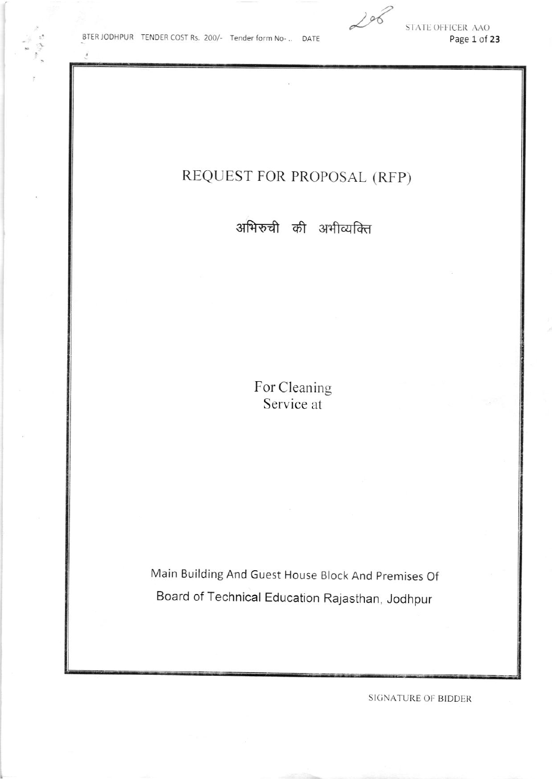$206$ 

STATE OFFICER AAO Page 1 of 23

## REQUEST FOR PROPOSAL (RFP)

अभिरुची की अभीव्यक्ति

For Cleaning Service at

Main Building And Guest House Block And Premises Of Board of Technical Education Rajasthan, Jodhpur

**SIGNATURE OF BIDDER**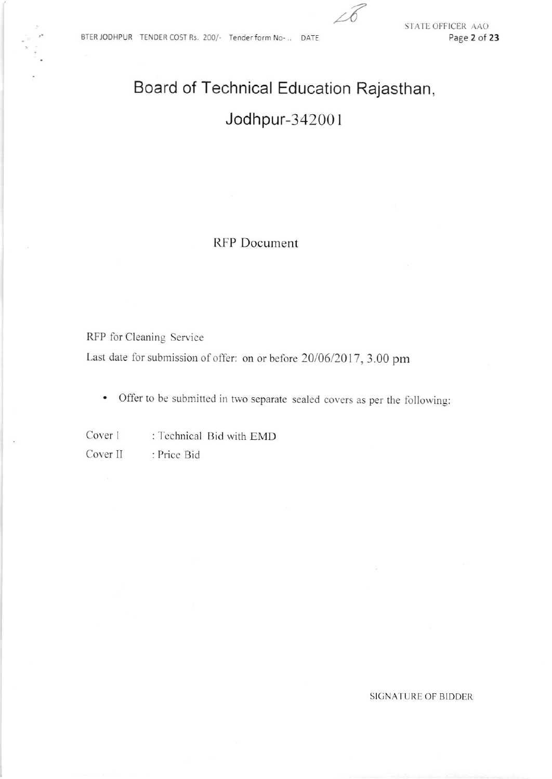# Board of Technical Education Rajasthan, Jodhpur-342001

RFP Document

RFP for Cleaning Service

Last date for submission of offer: on or before 20/06/2017, 3.00 pm

Offer to be submitted in two separate sealed covers as per the following:  $\bullet$ 

Cover 1 : Technical Bid with EMD Cover II : Price Bid

### **SIGNATURE OF BIDDER**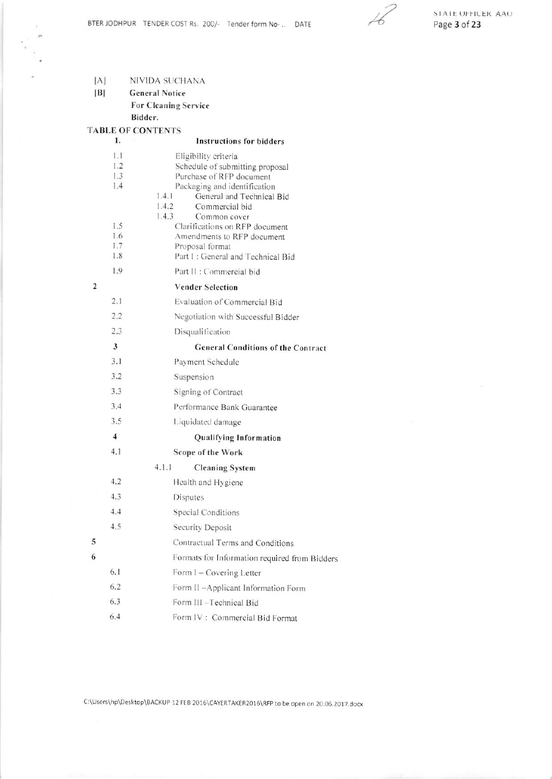$\mathcal{C}_{\mathcal{A}}$ 

 $[A]$ NIVIDA SUCHANA

 $|B|$ **General Notice** For Cleaning Service Bidder.

**TABLE OF CONTENTS** 

 $\ddot{\Xi}$  $\mathbb{R}^n$ 

|   | 1.                                                          | <b>Instructions for bidders</b>                                                                                                                                                                                                                                                                                                                                   |
|---|-------------------------------------------------------------|-------------------------------------------------------------------------------------------------------------------------------------------------------------------------------------------------------------------------------------------------------------------------------------------------------------------------------------------------------------------|
|   | 1.1<br>1.2<br>1.3<br>1.4<br>1.5<br>1.6<br>1.7<br>1.8<br>1.9 | Eligibility criteria<br>Schedule of submitting proposal<br>Purchase of RFP document<br>Packaging and identification<br>1.4.1<br>General and Technical Bid<br>1.4.2<br>Commercial bid<br>1.4.3<br>Common cover<br>Clarifications on RFP document<br>Amendments to RFP document<br>Proposal format<br>Part I: General and Technical Bid<br>Part II : Commercial bid |
| 2 |                                                             | <b>Vender Selection</b>                                                                                                                                                                                                                                                                                                                                           |
|   | 2.1                                                         | Evaluation of Commercial Bid                                                                                                                                                                                                                                                                                                                                      |
|   | 2.2                                                         | Negotiation with Successful Bidder                                                                                                                                                                                                                                                                                                                                |
|   | 2.3                                                         | Disqualification                                                                                                                                                                                                                                                                                                                                                  |
|   | 3                                                           | <b>General Conditions of the Contract</b>                                                                                                                                                                                                                                                                                                                         |
|   | 3.1                                                         | Payment Schedule                                                                                                                                                                                                                                                                                                                                                  |
|   | 3.2                                                         | Suspension                                                                                                                                                                                                                                                                                                                                                        |
|   | 3.3                                                         | Signing of Contract                                                                                                                                                                                                                                                                                                                                               |
|   | 3.4                                                         | Performance Bank Guarantee                                                                                                                                                                                                                                                                                                                                        |
|   | 3.5                                                         | Liquidated damage                                                                                                                                                                                                                                                                                                                                                 |
|   | $\overline{\mathbf{4}}$                                     | Qualifying Information                                                                                                                                                                                                                                                                                                                                            |
|   | 4.1                                                         | Scope of the Work                                                                                                                                                                                                                                                                                                                                                 |
|   |                                                             | 4.1.1<br><b>Cleaning System</b>                                                                                                                                                                                                                                                                                                                                   |
|   | 4.2                                                         | Health and Hygiene                                                                                                                                                                                                                                                                                                                                                |
|   | 4.3                                                         | Disputes                                                                                                                                                                                                                                                                                                                                                          |
|   | 4.4                                                         | Special Conditions                                                                                                                                                                                                                                                                                                                                                |
|   | 4.5                                                         | Security Deposit                                                                                                                                                                                                                                                                                                                                                  |
| 5 |                                                             | Contractual Terms and Conditions                                                                                                                                                                                                                                                                                                                                  |
| 6 |                                                             | Formats for Information required from Bidders                                                                                                                                                                                                                                                                                                                     |
|   | 6.1                                                         | Form I - Covering Letter                                                                                                                                                                                                                                                                                                                                          |
|   | 6.2                                                         | Form II -Applicant Information Form                                                                                                                                                                                                                                                                                                                               |
|   | 6.3                                                         | Form III -Technical Bid                                                                                                                                                                                                                                                                                                                                           |
|   | 6.4                                                         | Form IV: Commercial Bid Format                                                                                                                                                                                                                                                                                                                                    |

C:\Users\hp\Desktop\BACKUP 12 FEB 2016\CAYERTAKER2016\RFP to be open on 20.06.2017.docx